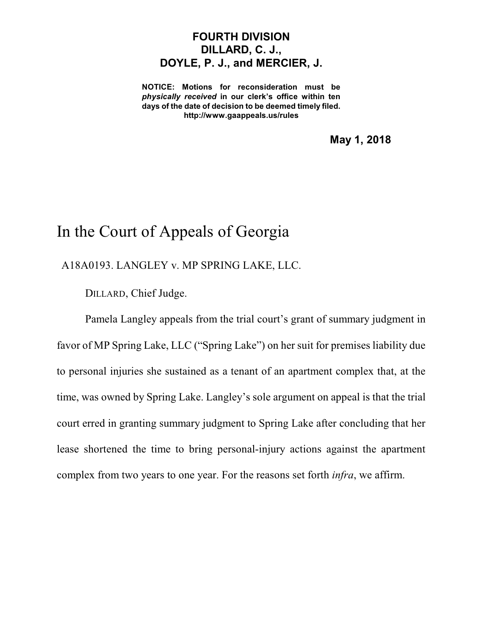## **FOURTH DIVISION DILLARD, C. J., DOYLE, P. J., and MERCIER, J.**

**NOTICE: Motions for reconsideration must be** *physically received* **in our clerk's office within ten days of the date of decision to be deemed timely filed. http://www.gaappeals.us/rules**

**May 1, 2018**

## In the Court of Appeals of Georgia

A18A0193. LANGLEY v. MP SPRING LAKE, LLC.

DILLARD, Chief Judge.

Pamela Langley appeals from the trial court's grant of summary judgment in favor of MP Spring Lake, LLC ("Spring Lake") on her suit for premises liability due to personal injuries she sustained as a tenant of an apartment complex that, at the time, was owned by Spring Lake. Langley's sole argument on appeal is that the trial court erred in granting summary judgment to Spring Lake after concluding that her lease shortened the time to bring personal-injury actions against the apartment complex from two years to one year. For the reasons set forth *infra*, we affirm.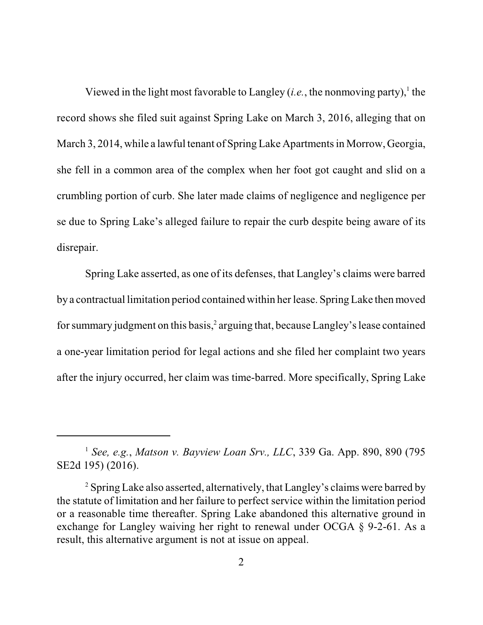Viewed in the light most favorable to Langley (*i.e.*, the nonmoving party),<sup>1</sup> the record shows she filed suit against Spring Lake on March 3, 2016, alleging that on March 3, 2014, while a lawful tenant of Spring Lake Apartments in Morrow, Georgia, she fell in a common area of the complex when her foot got caught and slid on a crumbling portion of curb. She later made claims of negligence and negligence per se due to Spring Lake's alleged failure to repair the curb despite being aware of its disrepair.

Spring Lake asserted, as one of its defenses, that Langley's claims were barred by a contractual limitation period contained within her lease. SpringLake thenmoved for summary judgment on this basis, 2 arguing that, because Langley'slease contained a one-year limitation period for legal actions and she filed her complaint two years after the injury occurred, her claim was time-barred. More specifically, Spring Lake

<sup>1</sup> *See, e.g.*, *Matson v. Bayview Loan Srv., LLC*, 339 Ga. App. 890, 890 (795 SE2d 195) (2016).

<sup>&</sup>lt;sup>2</sup> Spring Lake also asserted, alternatively, that Langley's claims were barred by the statute of limitation and her failure to perfect service within the limitation period or a reasonable time thereafter. Spring Lake abandoned this alternative ground in exchange for Langley waiving her right to renewal under OCGA § 9-2-61. As a result, this alternative argument is not at issue on appeal.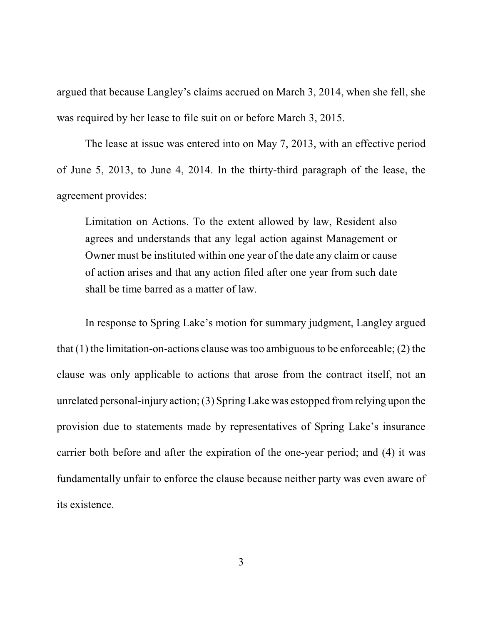argued that because Langley's claims accrued on March 3, 2014, when she fell, she was required by her lease to file suit on or before March 3, 2015.

The lease at issue was entered into on May 7, 2013, with an effective period of June 5, 2013, to June 4, 2014. In the thirty-third paragraph of the lease, the agreement provides:

Limitation on Actions. To the extent allowed by law, Resident also agrees and understands that any legal action against Management or Owner must be instituted within one year of the date any claim or cause of action arises and that any action filed after one year from such date shall be time barred as a matter of law.

In response to Spring Lake's motion for summary judgment, Langley argued that  $(1)$  the limitation-on-actions clause was too ambiguous to be enforceable;  $(2)$  the clause was only applicable to actions that arose from the contract itself, not an unrelated personal-injury action;(3) Spring Lake was estopped fromrelying upon the provision due to statements made by representatives of Spring Lake's insurance carrier both before and after the expiration of the one-year period; and (4) it was fundamentally unfair to enforce the clause because neither party was even aware of its existence.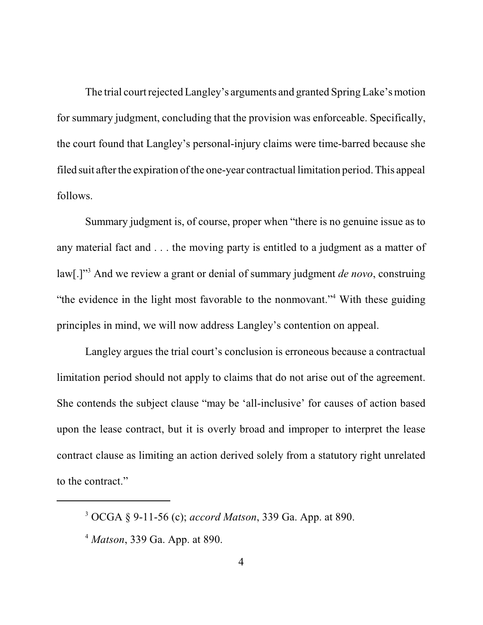The trial court rejected Langley's arguments and granted Spring Lake's motion for summary judgment, concluding that the provision was enforceable. Specifically, the court found that Langley's personal-injury claims were time-barred because she filed suit after the expiration of the one-year contractual limitation period. This appeal follows.

Summary judgment is, of course, proper when "there is no genuine issue as to any material fact and . . . the moving party is entitled to a judgment as a matter of law[.]" <sup>3</sup> And we review a grant or denial of summary judgment *de novo*, construing "the evidence in the light most favorable to the nonmovant."<sup>4</sup> With these guiding principles in mind, we will now address Langley's contention on appeal.

Langley argues the trial court's conclusion is erroneous because a contractual limitation period should not apply to claims that do not arise out of the agreement. She contends the subject clause "may be 'all-inclusive' for causes of action based upon the lease contract, but it is overly broad and improper to interpret the lease contract clause as limiting an action derived solely from a statutory right unrelated to the contract."

<sup>3</sup> OCGA § 9-11-56 (c); *accord Matson*, 339 Ga. App. at 890.

<sup>4</sup> *Matson*, 339 Ga. App. at 890.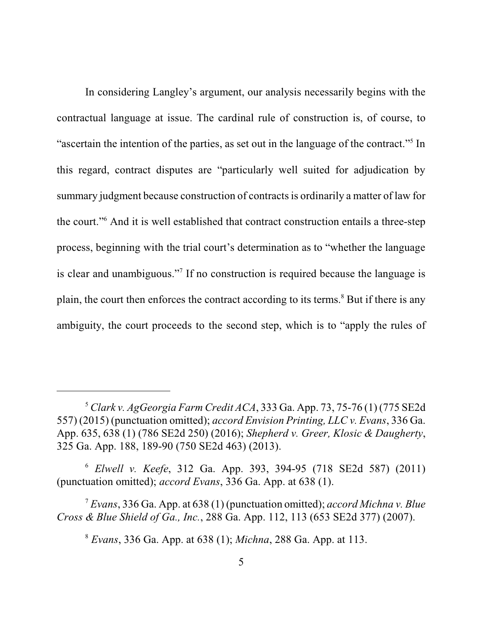In considering Langley's argument, our analysis necessarily begins with the contractual language at issue. The cardinal rule of construction is, of course, to "ascertain the intention of the parties, as set out in the language of the contract."<sup>5</sup> In this regard, contract disputes are "particularly well suited for adjudication by summary judgment because construction of contractsis ordinarily a matter of law for the court."<sup>6</sup> And it is well established that contract construction entails a three-step process, beginning with the trial court's determination as to "whether the language is clear and unambiguous."<sup>7</sup> If no construction is required because the language is plain, the court then enforces the contract according to its terms.<sup>8</sup> But if there is any ambiguity, the court proceeds to the second step, which is to "apply the rules of

<sup>6</sup> *Elwell v. Keefe*, 312 Ga. App. 393, 394-95 (718 SE2d 587) (2011) (punctuation omitted); *accord Evans*, 336 Ga. App. at 638 (1).

<sup>7</sup> *Evans*, 336 Ga. App. at 638 (1) (punctuation omitted); *accord Michna v. Blue Cross & Blue Shield of Ga., Inc.*, 288 Ga. App. 112, 113 (653 SE2d 377) (2007).

<sup>8</sup> *Evans*, 336 Ga. App. at 638 (1); *Michna*, 288 Ga. App. at 113.

<sup>5</sup> *Clark v. AgGeorgia Farm Credit ACA*, 333 Ga. App. 73, 75-76 (1) (775 SE2d 557) (2015) (punctuation omitted); *accord Envision Printing, LLC v. Evans*, 336 Ga. App. 635, 638 (1) (786 SE2d 250) (2016); *Shepherd v. Greer, Klosic & Daugherty*, 325 Ga. App. 188, 189-90 (750 SE2d 463) (2013).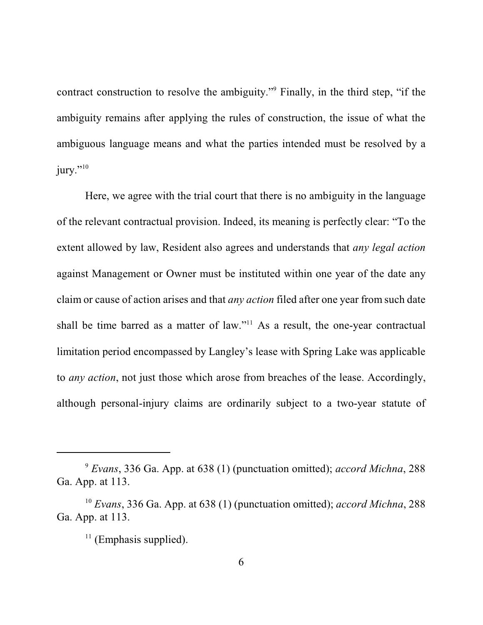contract construction to resolve the ambiguity."<sup>9</sup> Finally, in the third step, "if the ambiguity remains after applying the rules of construction, the issue of what the ambiguous language means and what the parties intended must be resolved by a jury." $^{10}$ 

Here, we agree with the trial court that there is no ambiguity in the language of the relevant contractual provision. Indeed, its meaning is perfectly clear: "To the extent allowed by law, Resident also agrees and understands that *any legal action* against Management or Owner must be instituted within one year of the date any claim or cause of action arises and that *any action* filed after one year from such date shall be time barred as a matter of law."<sup>11</sup> As a result, the one-year contractual limitation period encompassed by Langley's lease with Spring Lake was applicable to *any action*, not just those which arose from breaches of the lease. Accordingly, although personal-injury claims are ordinarily subject to a two-year statute of

<sup>9</sup> *Evans*, 336 Ga. App. at 638 (1) (punctuation omitted); *accord Michna*, 288 Ga. App. at 113.

<sup>10</sup> *Evans*, 336 Ga. App. at 638 (1) (punctuation omitted); *accord Michna*, 288 Ga. App. at 113.

<sup>&</sup>lt;sup>11</sup> (Emphasis supplied).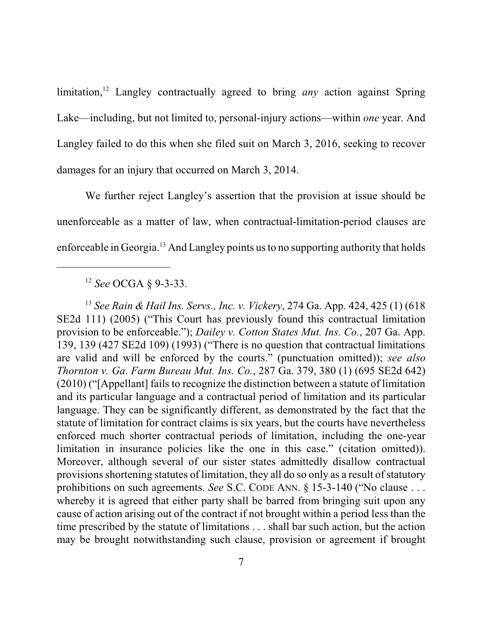limitation, <sup>12</sup> Langley contractually agreed to bring *any* action against Spring Lake—including, but not limited to, personal-injury actions—within *one* year. And Langley failed to do this when she filed suit on March 3, 2016, seeking to recover damages for an injury that occurred on March 3, 2014.

We further reject Langley's assertion that the provision at issue should be unenforceable as a matter of law, when contractual-limitation-period clauses are enforceable in Georgia.<sup>13</sup> And Langley points usto no supporting authority that holds

13 *See Rain & Hail Ins. Servs., Inc. v. Vickery*, 274 Ga. App. 424, 425 (1) (618 SE2d 111) (2005) ("This Court has previously found this contractual limitation provision to be enforceable."); *Dailey v. Cotton States Mut. Ins. Co.*, 207 Ga. App. 139, 139 (427 SE2d 109) (1993) ("There is no question that contractual limitations are valid and will be enforced by the courts." (punctuation omitted)); *see also Thornton v. Ga. Farm Bureau Mut. Ins. Co.*, 287 Ga. 379, 380 (1) (695 SE2d 642) (2010) ("[Appellant] fails to recognize the distinction between a statute of limitation and its particular language and a contractual period of limitation and its particular language. They can be significantly different, as demonstrated by the fact that the statute of limitation for contract claims is six years, but the courts have nevertheless enforced much shorter contractual periods of limitation, including the one-year limitation in insurance policies like the one in this case." (citation omitted)). Moreover, although several of our sister states admittedly disallow contractual provisionsshortening statutes of limitation, they all do so only as a result of statutory prohibitions on such agreements. *See* S.C. CODE ANN. § 15-3-140 ("No clause . . . whereby it is agreed that either party shall be barred from bringing suit upon any cause of action arising out of the contract if not brought within a period less than the time prescribed by the statute of limitations . . . shall bar such action, but the action may be brought notwithstanding such clause, provision or agreement if brought

<sup>12</sup> *See* OCGA § 9-3-33.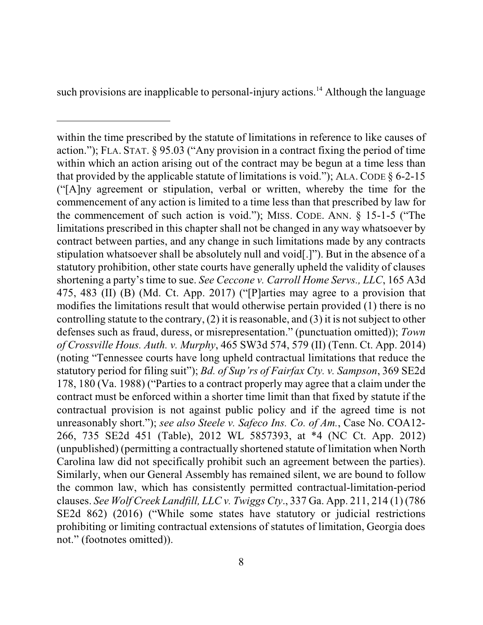such provisions are inapplicable to personal-injury actions.<sup>14</sup> Although the language

within the time prescribed by the statute of limitations in reference to like causes of action."); FLA. STAT. § 95.03 ("Any provision in a contract fixing the period of time within which an action arising out of the contract may be begun at a time less than that provided by the applicable statute of limitations is void."); ALA. CODE  $\S 6$ -2-15 ("[A]ny agreement or stipulation, verbal or written, whereby the time for the commencement of any action is limited to a time less than that prescribed by law for the commencement of such action is void."); MISS. CODE. ANN. § 15-1-5 ("The limitations prescribed in this chapter shall not be changed in any way whatsoever by contract between parties, and any change in such limitations made by any contracts stipulation whatsoever shall be absolutely null and void[.]"). But in the absence of a statutory prohibition, other state courts have generally upheld the validity of clauses shortening a party's time to sue. *See Ceccone v. Carroll Home Servs., LLC*, 165 A3d 475, 483 (II) (B) (Md. Ct. App. 2017) ("[P]arties may agree to a provision that modifies the limitations result that would otherwise pertain provided (1) there is no controlling statute to the contrary,  $(2)$  it is reasonable, and  $(3)$  it is not subject to other defenses such as fraud, duress, or misrepresentation." (punctuation omitted)); *Town of Crossville Hous. Auth. v. Murphy*, 465 SW3d 574, 579 (II) (Tenn. Ct. App. 2014) (noting "Tennessee courts have long upheld contractual limitations that reduce the statutory period for filing suit"); *Bd. of Sup'rs of Fairfax Cty. v. Sampson*, 369 SE2d 178, 180 (Va. 1988) ("Parties to a contract properly may agree that a claim under the contract must be enforced within a shorter time limit than that fixed by statute if the contractual provision is not against public policy and if the agreed time is not unreasonably short."); *see also Steele v. Safeco Ins. Co. of Am.*, Case No. COA12- 266, 735 SE2d 451 (Table), 2012 WL 5857393, at \*4 (NC Ct. App. 2012) (unpublished) (permitting a contractually shortened statute of limitation when North Carolina law did not specifically prohibit such an agreement between the parties). Similarly, when our General Assembly has remained silent, we are bound to follow the common law, which has consistently permitted contractual-limitation-period clauses. *See Wolf Creek Landfill, LLC v. Twiggs Cty*., 337 Ga. App. 211, 214 (1) (786 SE2d 862) (2016) ("While some states have statutory or judicial restrictions prohibiting or limiting contractual extensions of statutes of limitation, Georgia does not." (footnotes omitted)).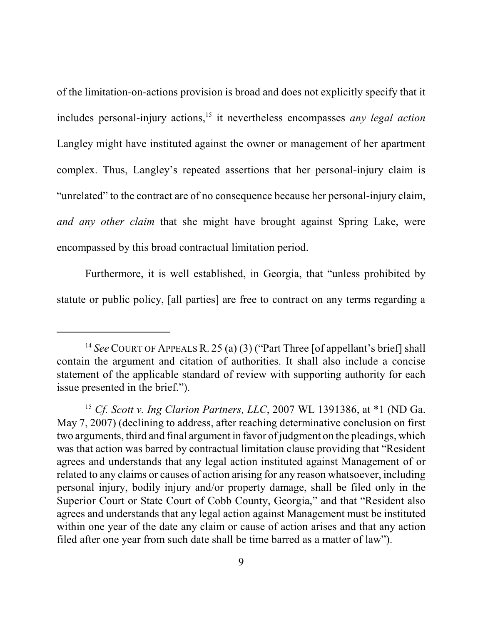of the limitation-on-actions provision is broad and does not explicitly specify that it includes personal-injury actions, 15 it nevertheless encompasses *any legal action* Langley might have instituted against the owner or management of her apartment complex. Thus, Langley's repeated assertions that her personal-injury claim is "unrelated" to the contract are of no consequence because her personal-injury claim, *and any other claim* that she might have brought against Spring Lake, were encompassed by this broad contractual limitation period.

Furthermore, it is well established, in Georgia, that "unless prohibited by statute or public policy, [all parties] are free to contract on any terms regarding a

<sup>&</sup>lt;sup>14</sup> See COURT OF APPEALS R. 25 (a) (3) ("Part Three [of appellant's brief] shall contain the argument and citation of authorities. It shall also include a concise statement of the applicable standard of review with supporting authority for each issue presented in the brief.").

<sup>15</sup> *Cf. Scott v. Ing Clarion Partners, LLC*, 2007 WL 1391386, at \*1 (ND Ga. May 7, 2007) (declining to address, after reaching determinative conclusion on first two arguments, third and final argument in favor of judgment on the pleadings, which was that action was barred by contractual limitation clause providing that "Resident agrees and understands that any legal action instituted against Management of or related to any claims or causes of action arising for any reason whatsoever, including personal injury, bodily injury and/or property damage, shall be filed only in the Superior Court or State Court of Cobb County, Georgia," and that "Resident also agrees and understands that any legal action against Management must be instituted within one year of the date any claim or cause of action arises and that any action filed after one year from such date shall be time barred as a matter of law").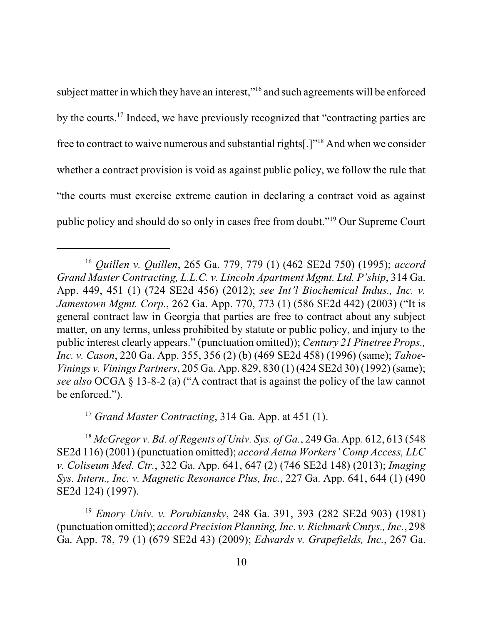subject matter in which they have an interest,"<sup>16</sup> and such agreements will be enforced by the courts.<sup>17</sup> Indeed, we have previously recognized that "contracting parties are free to contract to waive numerous and substantial rights[.]"<sup>18</sup> And when we consider whether a contract provision is void as against public policy, we follow the rule that "the courts must exercise extreme caution in declaring a contract void as against public policy and should do so only in cases free from doubt."<sup>19</sup> Our Supreme Court

<sup>17</sup> *Grand Master Contracting*, 314 Ga. App. at 451 (1).

<sup>18</sup> *McGregor v. Bd. of Regents of Univ. Sys. of Ga.*, 249 Ga. App. 612, 613 (548 SE2d 116) (2001) (punctuation omitted); *accord Aetna Workers' Comp Access, LLC v. Coliseum Med. Ctr.*, 322 Ga. App. 641, 647 (2) (746 SE2d 148) (2013); *Imaging Sys. Intern., Inc. v. Magnetic Resonance Plus, Inc.*, 227 Ga. App. 641, 644 (1) (490 SE2d 124) (1997).

<sup>19</sup> *Emory Univ. v. Porubiansky*, 248 Ga. 391, 393 (282 SE2d 903) (1981) (punctuation omitted); *accord Precision Planning, Inc. v. Richmark Cmtys., Inc.*, 298 Ga. App. 78, 79 (1) (679 SE2d 43) (2009); *Edwards v. Grapefields, Inc.*, 267 Ga.

<sup>16</sup> *Quillen v. Quillen*, 265 Ga. 779, 779 (1) (462 SE2d 750) (1995); *accord Grand Master Contracting, L.L.C. v. Lincoln Apartment Mgmt. Ltd. P'ship*, 314 Ga. App. 449, 451 (1) (724 SE2d 456) (2012); *see Int'l Biochemical Indus., Inc. v. Jamestown Mgmt. Corp.*, 262 Ga. App. 770, 773 (1) (586 SE2d 442) (2003) ("It is general contract law in Georgia that parties are free to contract about any subject matter, on any terms, unless prohibited by statute or public policy, and injury to the public interest clearly appears." (punctuation omitted)); *Century 21 Pinetree Props., Inc. v. Cason*, 220 Ga. App. 355, 356 (2) (b) (469 SE2d 458) (1996) (same); *Tahoe-Vinings v. Vinings Partners*, 205 Ga. App. 829, 830 (1) (424 SE2d 30) (1992) (same); *see also* OCGA § 13-8-2 (a) ("A contract that is against the policy of the law cannot be enforced.").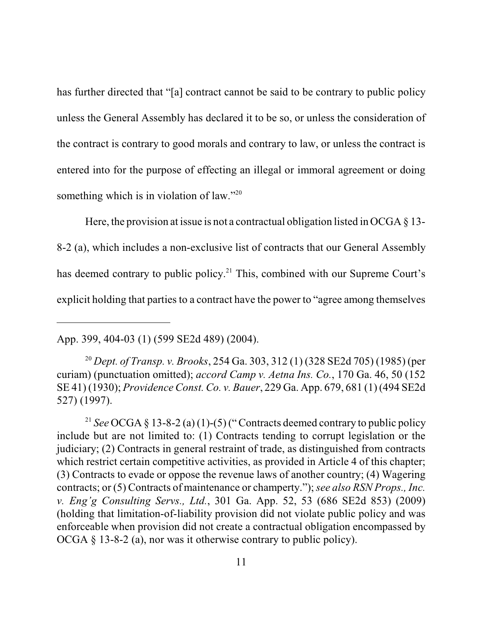has further directed that "[a] contract cannot be said to be contrary to public policy unless the General Assembly has declared it to be so, or unless the consideration of the contract is contrary to good morals and contrary to law, or unless the contract is entered into for the purpose of effecting an illegal or immoral agreement or doing something which is in violation of law."<sup>20</sup>

Here, the provision at issue is not a contractual obligation listed in OCGA  $\S$  13-8-2 (a), which includes a non-exclusive list of contracts that our General Assembly has deemed contrary to public policy.<sup>21</sup> This, combined with our Supreme Court's explicit holding that parties to a contract have the power to "agree among themselves"

App. 399, 404-03 (1) (599 SE2d 489) (2004).

<sup>20</sup> *Dept. of Transp. v. Brooks*, 254 Ga. 303, 312 (1) (328 SE2d 705) (1985) (per curiam) (punctuation omitted); *accord Camp v. Aetna Ins. Co.*, 170 Ga. 46, 50 (152 SE 41) (1930); *Providence Const. Co. v. Bauer*, 229 Ga. App. 679, 681 (1) (494 SE2d 527) (1997).

<sup>21</sup> *See* OCGA § 13-8-2 (a) (1)-(5) ("Contracts deemed contrary to public policy include but are not limited to: (1) Contracts tending to corrupt legislation or the judiciary; (2) Contracts in general restraint of trade, as distinguished from contracts which restrict certain competitive activities, as provided in Article 4 of this chapter; (3) Contracts to evade or oppose the revenue laws of another country; (4) Wagering contracts; or (5) Contracts of maintenance or champerty.");*see also RSN Props., Inc. v. Eng'g Consulting Servs., Ltd.*, 301 Ga. App. 52, 53 (686 SE2d 853) (2009) (holding that limitation-of-liability provision did not violate public policy and was enforceable when provision did not create a contractual obligation encompassed by OCGA § 13-8-2 (a), nor was it otherwise contrary to public policy).